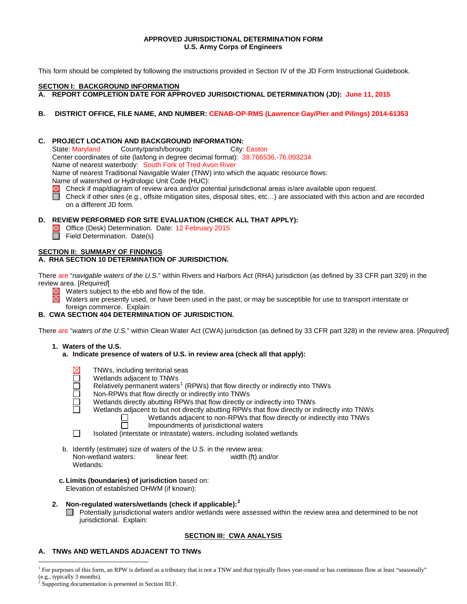#### **APPROVED JURISDICTIONAL DETERMINATION FORM U.S. Army Corps of Engineers**

This form should be completed by following the instructions provided in Section IV of the JD Form Instructional Guidebook.

# **SECTION I: BACKGROUND INFORMATION**

**A. REPORT COMPLETION DATE FOR APPROVED JURISDICTIONAL DETERMINATION (JD): June 11, 2015**

# **B. DISTRICT OFFICE, FILE NAME, AND NUMBER: CENAB-OP-RMS (Lawrence Gay/Pier and Pilings) 2014-61353**

# **C. PROJECT LOCATION AND BACKGROUND INFORMATION:**<br>State: Maryland County/parish/borough: City:

County/parish/borough: City: Easton Center coordinates of site (lat/long in degree decimal format): 38.766536,-76.093234 Name of nearest waterbody: South Fork of Tred Avon River Name of nearest Traditional Navigable Water (TNW) into which the aquatic resource flows:

Name of watershed or Hydrologic Unit Code (HUC):

- Check if map/diagram of review area and/or potential jurisdictional areas is/are available upon request.
- Check if other sites (e.g., offsite mitigation sites, disposal sites, etc…) are associated with this action and are recorded on a different JD form.

# **D. REVIEW PERFORMED FOR SITE EVALUATION (CHECK ALL THAT APPLY):**

- $\overline{\times}$  Office (Desk) Determination. Date: 12 February 2015
- $\Box$  Field Determination. Date(s)

# **SECTION II: SUMMARY OF FINDINGS**

# **A. RHA SECTION 10 DETERMINATION OF JURISDICTION.**

There are "*navigable waters of the U.S.*" within Rivers and Harbors Act (RHA) jurisdiction (as defined by 33 CFR part 329) in the review area. [*Required*]

- Waters subject to the ebb and flow of the tide.
- 岗 Waters are presently used, or have been used in the past, or may be susceptible for use to transport interstate or foreign commerce. Explain:

# **B. CWA SECTION 404 DETERMINATION OF JURISDICTION.**

There are "*waters of the U.S.*" within Clean Water Act (CWA) jurisdiction (as defined by 33 CFR part 328) in the review area. [*Required*]

- **1. Waters of the U.S.**
	- **a. Indicate presence of waters of U.S. in review area (check all that apply):**
		- TNWs, including territorial seas Wetlands adjacent to TNWs Relatively permanent waters<sup>[1](#page-0-0)</sup> (RPWs) that flow directly or indirectly into TNWs Non-RPWs that flow directly or indirectly into TNWs

П

- Wetlands directly abutting RPWs that flow directly or indirectly into TNWs
	-
	- Wetlands adjacent to but not directly abutting RPWs that flow directly or indirectly into TNWs<br>Wetlands adjacent to non-RPWs that flow directly or indirectly into TNWs Wetlands adjacent to non-RPWs that flow directly or indirectly into TNWs
		- Impoundments of jurisdictional waters
- П Isolated (interstate or intrastate) waters, including isolated wetlands
- b. Identify (estimate) size of waters of the U.S. in the review area:<br>Non-wetland waters: linear feet: width (ft) and/or Non-wetland waters: Wetlands:
- **c. Limits (boundaries) of jurisdiction** based on: Elevation of established OHWM (if known):

# **2. Non-regulated waters/wetlands (check if applicable): [2](#page-0-1)**

Potentially jurisdictional waters and/or wetlands were assessed within the review area and determined to be not jurisdictional. Explain:

# **SECTION III: CWA ANALYSIS**

# **A. TNWs AND WETLANDS ADJACENT TO TNWs**

<span id="page-0-1"></span><span id="page-0-0"></span><sup>&</sup>lt;sup>1</sup> For purposes of this form, an RPW is defined as a tributary that is not a TNW and that typically flows year-round or has continuous flow at least "seasonally" (e.g., typically 3 months).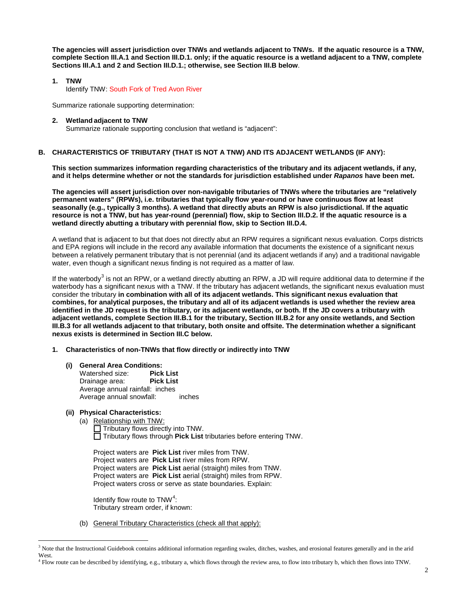**The agencies will assert jurisdiction over TNWs and wetlands adjacent to TNWs. If the aquatic resource is a TNW, complete Section III.A.1 and Section III.D.1. only; if the aquatic resource is a wetland adjacent to a TNW, complete Sections III.A.1 and 2 and Section III.D.1.; otherwise, see Section III.B below**.

#### **1. TNW**

Identify TNW: South Fork of Tred Avon River

Summarize rationale supporting determination:

#### **2. Wetland adjacent to TNW**

Summarize rationale supporting conclusion that wetland is "adjacent":

# **B. CHARACTERISTICS OF TRIBUTARY (THAT IS NOT A TNW) AND ITS ADJACENT WETLANDS (IF ANY):**

**This section summarizes information regarding characteristics of the tributary and its adjacent wetlands, if any, and it helps determine whether or not the standards for jurisdiction established under** *Rapanos* **have been met.** 

**The agencies will assert jurisdiction over non-navigable tributaries of TNWs where the tributaries are "relatively permanent waters" (RPWs), i.e. tributaries that typically flow year-round or have continuous flow at least seasonally (e.g., typically 3 months). A wetland that directly abuts an RPW is also jurisdictional. If the aquatic resource is not a TNW, but has year-round (perennial) flow, skip to Section III.D.2. If the aquatic resource is a wetland directly abutting a tributary with perennial flow, skip to Section III.D.4.** 

A wetland that is adjacent to but that does not directly abut an RPW requires a significant nexus evaluation. Corps districts and EPA regions will include in the record any available information that documents the existence of a significant nexus between a relatively permanent tributary that is not perennial (and its adjacent wetlands if any) and a traditional navigable water, even though a significant nexus finding is not required as a matter of law.

If the waterbody<sup>[3](#page-1-0)</sup> is not an RPW, or a wetland directly abutting an RPW, a JD will require additional data to determine if the waterbody has a significant nexus with a TNW. If the tributary has adjacent wetlands, the significant nexus evaluation must consider the tributary **in combination with all of its adjacent wetlands. This significant nexus evaluation that combines, for analytical purposes, the tributary and all of its adjacent wetlands is used whether the review area identified in the JD request is the tributary, or its adjacent wetlands, or both. If the JD covers a tributary with adjacent wetlands, complete Section III.B.1 for the tributary, Section III.B.2 for any onsite wetlands, and Section III.B.3 for all wetlands adjacent to that tributary, both onsite and offsite. The determination whether a significant nexus exists is determined in Section III.C below.**

- **1. Characteristics of non-TNWs that flow directly or indirectly into TNW**
	- **(i) General Area Conditions:**

Watershed size: **Pick List** Drainage area: Average annual rainfall: inches Average annual snowfall: inches

# **(ii) Physical Characteristics:**

(a) Relationship with TNW:  $\Box$  Tributary flows directly into TNW. Tributary flows through **Pick List** tributaries before entering TNW.

Project waters are **Pick List** river miles from TNW. Project waters are **Pick List** river miles from RPW. Project waters are **Pick List** aerial (straight) miles from TNW. Project waters are **Pick List** aerial (straight) miles from RPW. Project waters cross or serve as state boundaries. Explain:

Identify flow route to  $TNW<sup>4</sup>$  $TNW<sup>4</sup>$  $TNW<sup>4</sup>$ : Tributary stream order, if known:

(b) General Tributary Characteristics (check all that apply):

<span id="page-1-0"></span><sup>&</sup>lt;sup>3</sup> Note that the Instructional Guidebook contains additional information regarding swales, ditches, washes, and erosional features generally and in the arid West.

<span id="page-1-1"></span><sup>4</sup> Flow route can be described by identifying, e.g., tributary a, which flows through the review area, to flow into tributary b, which then flows into TNW.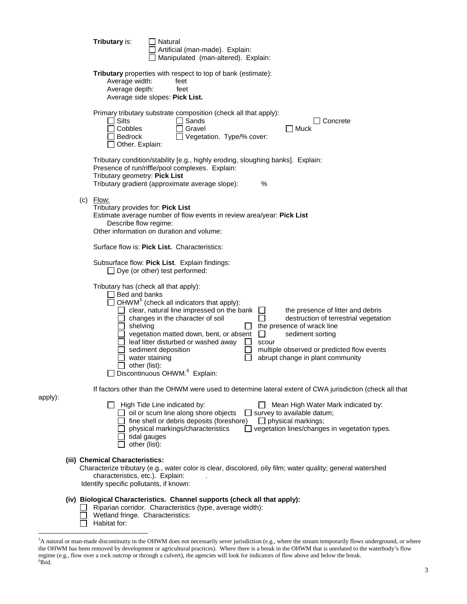|     | Tributary is:                                                                                                  | Natural<br>Artificial (man-made). Explain:<br>Manipulated (man-altered). Explain:                                                                                                                                                                                                                                                                                                                                                                                                                                                                                                                               |
|-----|----------------------------------------------------------------------------------------------------------------|-----------------------------------------------------------------------------------------------------------------------------------------------------------------------------------------------------------------------------------------------------------------------------------------------------------------------------------------------------------------------------------------------------------------------------------------------------------------------------------------------------------------------------------------------------------------------------------------------------------------|
|     | Average width:<br>Average depth:                                                                               | Tributary properties with respect to top of bank (estimate):<br>feet<br>feet<br>Average side slopes: Pick List.                                                                                                                                                                                                                                                                                                                                                                                                                                                                                                 |
|     | $\Box$ Silts<br>Cobbles<br>Bedrock<br>Other. Explain:                                                          | Primary tributary substrate composition (check all that apply):<br>Sands<br>Concrete<br>Gravel<br>Muck<br>Vegetation. Type/% cover:                                                                                                                                                                                                                                                                                                                                                                                                                                                                             |
|     | Tributary geometry: Pick List                                                                                  | Tributary condition/stability [e.g., highly eroding, sloughing banks]. Explain:<br>Presence of run/riffle/pool complexes. Explain:<br>Tributary gradient (approximate average slope):<br>$\%$                                                                                                                                                                                                                                                                                                                                                                                                                   |
| (c) | Flow:<br>Tributary provides for: Pick List<br>Describe flow regime:                                            | Estimate average number of flow events in review area/year: Pick List<br>Other information on duration and volume:                                                                                                                                                                                                                                                                                                                                                                                                                                                                                              |
|     |                                                                                                                | Surface flow is: Pick List. Characteristics:                                                                                                                                                                                                                                                                                                                                                                                                                                                                                                                                                                    |
|     |                                                                                                                | Subsurface flow: Pick List. Explain findings:<br>$\Box$ Dye (or other) test performed:                                                                                                                                                                                                                                                                                                                                                                                                                                                                                                                          |
|     | $\Box$ Bed and banks<br>shelving<br>other (list):                                                              | Tributary has (check all that apply):<br>OHWM <sup>5</sup> (check all indicators that apply):<br>clear, natural line impressed on the bank<br>the presence of litter and debris<br>changes in the character of soil<br>$\blacksquare$<br>destruction of terrestrial vegetation<br>the presence of wrack line<br>vegetation matted down, bent, or absent<br>sediment sorting<br>$\perp$<br>leaf litter disturbed or washed away<br>scour<br>multiple observed or predicted flow events<br>sediment deposition<br>abrupt change in plant community<br>water staining<br>Discontinuous OHWM. <sup>6</sup> Explain: |
|     |                                                                                                                | If factors other than the OHWM were used to determine lateral extent of CWA jurisdiction (check all that                                                                                                                                                                                                                                                                                                                                                                                                                                                                                                        |
|     | other (list):                                                                                                  | High Tide Line indicated by:<br>Mean High Water Mark indicated by:<br>$\Box$ oil or scum line along shore objects<br>$\Box$ survey to available datum;<br>fine shell or debris deposits (foreshore)<br>$\Box$ physical markings;<br>vegetation lines/changes in vegetation types.<br>physical markings/characteristics<br>tidal gauges                                                                                                                                                                                                                                                                          |
|     | (iii) Chemical Characteristics:<br>characteristics, etc.). Explain:<br>Identify specific pollutants, if known: | Characterize tributary (e.g., water color is clear, discolored, oily film; water quality; general watershed                                                                                                                                                                                                                                                                                                                                                                                                                                                                                                     |
|     | Wetland fringe. Characteristics:<br>Habitat for:                                                               | (iv) Biological Characteristics. Channel supports (check all that apply):<br>Riparian corridor. Characteristics (type, average width):                                                                                                                                                                                                                                                                                                                                                                                                                                                                          |

apply):

<span id="page-2-1"></span><span id="page-2-0"></span> $\frac{1}{5}$ A natural or man-made discontinuity in the OHWM does not necessarily sever jurisdiction (e.g., where the stream temporarily flows underground, or where the OHWM has been removed by development or agricultural practices). Where there is a break in the OHWM that is unrelated to the waterbody's flow regime (e.g., flow over a rock outcrop or through a culvert), the agencies will look for indicators of flow above and below the break.<br><sup>6</sup>Ibid.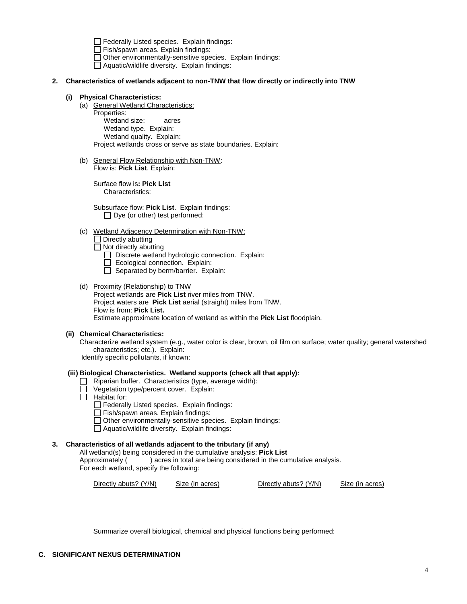$\Box$  Federally Listed species. Explain findings:

Fish/spawn areas. Explain findings:

 $\Box$  Other environmentally-sensitive species. Explain findings:

□ Aquatic/wildlife diversity. Explain findings:

# **2. Characteristics of wetlands adjacent to non-TNW that flow directly or indirectly into TNW**

#### **(i) Physical Characteristics:**

(a) General Wetland Characteristics:

Properties: Wetland size: acres Wetland type. Explain: Wetland quality. Explain: Project wetlands cross or serve as state boundaries. Explain:

(b) General Flow Relationship with Non-TNW: Flow is: **Pick List**. Explain:

Surface flow is**: Pick List**  Characteristics:

Subsurface flow: **Pick List**. Explain findings:  $\Box$  Dye (or other) test performed:

(c) Wetland Adjacency Determination with Non-TNW:

 $\Box$  Directly abutting

 $\Box$  Not directly abutting

□ Discrete wetland hydrologic connection. Explain:

- Ecological connection. Explain:
- $\Box$  Separated by berm/barrier. Explain:
- (d) Proximity (Relationship) to TNW Project wetlands are **Pick List** river miles from TNW. Project waters are **Pick List** aerial (straight) miles from TNW. Flow is from: **Pick List.** Estimate approximate location of wetland as within the **Pick List** floodplain.

# **(ii) Chemical Characteristics:**

Characterize wetland system (e.g., water color is clear, brown, oil film on surface; water quality; general watershed characteristics; etc.). Explain:

Identify specific pollutants, if known:

# **(iii) Biological Characteristics. Wetland supports (check all that apply):**

- Riparian buffer. Characteristics (type, average width):
- Vegetation type/percent cover. Explain:
- $\Box$  Habitat for:
	- $\Box$  Federally Listed species. Explain findings:
	- $\Box$  Fish/spawn areas. Explain findings:
	- $\Box$  Other environmentally-sensitive species. Explain findings:
	- □ Aquatic/wildlife diversity. Explain findings:

# **3. Characteristics of all wetlands adjacent to the tributary (if any)**

All wetland(s) being considered in the cumulative analysis: **Pick List** ) acres in total are being considered in the cumulative analysis. For each wetland, specify the following:

Directly abuts? (Y/N) Size (in acres) Directly abuts? (Y/N) Size (in acres)

Summarize overall biological, chemical and physical functions being performed: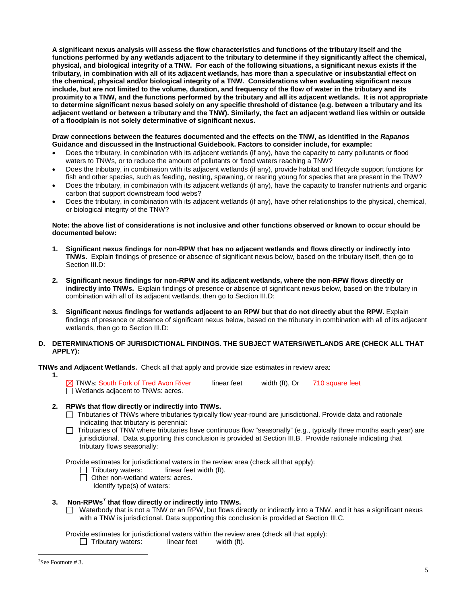**A significant nexus analysis will assess the flow characteristics and functions of the tributary itself and the functions performed by any wetlands adjacent to the tributary to determine if they significantly affect the chemical, physical, and biological integrity of a TNW. For each of the following situations, a significant nexus exists if the tributary, in combination with all of its adjacent wetlands, has more than a speculative or insubstantial effect on the chemical, physical and/or biological integrity of a TNW. Considerations when evaluating significant nexus include, but are not limited to the volume, duration, and frequency of the flow of water in the tributary and its proximity to a TNW, and the functions performed by the tributary and all its adjacent wetlands. It is not appropriate to determine significant nexus based solely on any specific threshold of distance (e.g. between a tributary and its adjacent wetland or between a tributary and the TNW). Similarly, the fact an adjacent wetland lies within or outside of a floodplain is not solely determinative of significant nexus.** 

**Draw connections between the features documented and the effects on the TNW, as identified in the** *Rapanos* **Guidance and discussed in the Instructional Guidebook. Factors to consider include, for example:**

- Does the tributary, in combination with its adjacent wetlands (if any), have the capacity to carry pollutants or flood waters to TNWs, or to reduce the amount of pollutants or flood waters reaching a TNW?
- Does the tributary, in combination with its adjacent wetlands (if any), provide habitat and lifecycle support functions for fish and other species, such as feeding, nesting, spawning, or rearing young for species that are present in the TNW?
- Does the tributary, in combination with its adjacent wetlands (if any), have the capacity to transfer nutrients and organic carbon that support downstream food webs?
- Does the tributary, in combination with its adjacent wetlands (if any), have other relationships to the physical, chemical, or biological integrity of the TNW?

# **Note: the above list of considerations is not inclusive and other functions observed or known to occur should be documented below:**

- **1. Significant nexus findings for non-RPW that has no adjacent wetlands and flows directly or indirectly into TNWs.** Explain findings of presence or absence of significant nexus below, based on the tributary itself, then go to Section III.D:
- **2. Significant nexus findings for non-RPW and its adjacent wetlands, where the non-RPW flows directly or indirectly into TNWs.** Explain findings of presence or absence of significant nexus below, based on the tributary in combination with all of its adjacent wetlands, then go to Section III.D:
- **3. Significant nexus findings for wetlands adjacent to an RPW but that do not directly abut the RPW.** Explain findings of presence or absence of significant nexus below, based on the tributary in combination with all of its adjacent wetlands, then go to Section III.D:

# **D. DETERMINATIONS OF JURISDICTIONAL FINDINGS. THE SUBJECT WATERS/WETLANDS ARE (CHECK ALL THAT APPLY):**

**TNWs and Adiacent Wetlands.** Check all that apply and provide size estimates in review area:

 $\overline{\times}$  TNWs: South Fork of Tred Avon River linear feet width (ft), Or 710 square feet Wetlands adjacent to TNWs: acres.

# **2. RPWs that flow directly or indirectly into TNWs.**

- Tributaries of TNWs where tributaries typically flow year-round are jurisdictional. Provide data and rationale indicating that tributary is perennial:
- $\Box$  Tributaries of TNW where tributaries have continuous flow "seasonally" (e.g., typically three months each year) are jurisdictional. Data supporting this conclusion is provided at Section III.B. Provide rationale indicating that tributary flows seasonally:

Provide estimates for jurisdictional waters in the review area (check all that apply):<br>  $\Box$  Tributary waters: linear feet width (ft).

- linear feet width (ft).
- □ Other non-wetland waters: acres.

Identify type(s) of waters:

# **3. Non-RPWs[7](#page-4-0) that flow directly or indirectly into TNWs.**

Waterbody that is not a TNW or an RPW, but flows directly or indirectly into a TNW, and it has a significant nexus with a TNW is jurisdictional. Data supporting this conclusion is provided at Section III.C.

Provide estimates for jurisdictional waters within the review area (check all that apply):<br>  $\Box$  Tributary waters: linear feet width (ft).

 $\Box$  Tributary waters:

**1.**

<span id="page-4-0"></span><sup>-&</sup>lt;br>7  $\sqrt{3}$ See Footnote #3.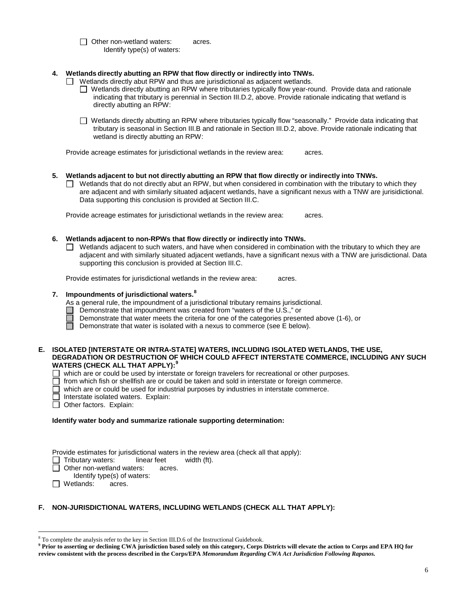□ Other non-wetland waters: acres. Identify type(s) of waters:

# **4. Wetlands directly abutting an RPW that flow directly or indirectly into TNWs.**

- $\Box$  Wetlands directly abut RPW and thus are jurisdictional as adjacent wetlands.
	- Wetlands directly abutting an RPW where tributaries typically flow year-round. Provide data and rationale indicating that tributary is perennial in Section III.D.2, above. Provide rationale indicating that wetland is directly abutting an RPW:
	- Wetlands directly abutting an RPW where tributaries typically flow "seasonally." Provide data indicating that tributary is seasonal in Section III.B and rationale in Section III.D.2, above. Provide rationale indicating that wetland is directly abutting an RPW:

Provide acreage estimates for jurisdictional wetlands in the review area: acres.

# **5. Wetlands adjacent to but not directly abutting an RPW that flow directly or indirectly into TNWs.**

 $\Box$  Wetlands that do not directly abut an RPW, but when considered in combination with the tributary to which they are adjacent and with similarly situated adjacent wetlands, have a significant nexus with a TNW are jurisidictional. Data supporting this conclusion is provided at Section III.C.

Provide acreage estimates for jurisdictional wetlands in the review area: acres.

#### **6. Wetlands adjacent to non-RPWs that flow directly or indirectly into TNWs.**

 $\Box$  Wetlands adjacent to such waters, and have when considered in combination with the tributary to which they are adjacent and with similarly situated adjacent wetlands, have a significant nexus with a TNW are jurisdictional. Data supporting this conclusion is provided at Section III.C.

Provide estimates for jurisdictional wetlands in the review area: acres.

# **7. Impoundments of jurisdictional waters. [8](#page-5-0)**

As a general rule, the impoundment of a jurisdictional tributary remains jurisdictional.

- Demonstrate that impoundment was created from "waters of the U.S.," or
- Demonstrate that water meets the criteria for one of the categories presented above (1-6), or
- ñ Demonstrate that water is isolated with a nexus to commerce (see E below).

#### **E. ISOLATED [INTERSTATE OR INTRA-STATE] WATERS, INCLUDING ISOLATED WETLANDS, THE USE, DEGRADATION OR DESTRUCTION OF WHICH COULD AFFECT INTERSTATE COMMERCE, INCLUDING ANY SUCH WATERS (CHECK ALL THAT APPLY):[9](#page-5-1)**

- $\Box$  which are or could be used by interstate or foreign travelers for recreational or other purposes.
- $\Box$  from which fish or shellfish are or could be taken and sold in interstate or foreign commerce.
- $\Box$  which are or could be used for industrial purposes by industries in interstate commerce.
- Interstate isolated waters.Explain:
- Other factors. Explain:

#### **Identify water body and summarize rationale supporting determination:**

| Provide estimates for jurisdictional waters in the review area (check all that apply): |        |             |  |  |  |  |  |
|----------------------------------------------------------------------------------------|--------|-------------|--|--|--|--|--|
| Tributary waters: linear feet                                                          |        | width (ft). |  |  |  |  |  |
| Other non-wetland waters:                                                              | acres. |             |  |  |  |  |  |
| Identify type(s) of waters:                                                            |        |             |  |  |  |  |  |
|                                                                                        |        |             |  |  |  |  |  |

**D** Wetlands: acres.

# **F. NON-JURISDICTIONAL WATERS, INCLUDING WETLANDS (CHECK ALL THAT APPLY):**

<span id="page-5-0"></span> <sup>8</sup> To complete the analysis refer to the key in Section III.D.6 of the Instructional Guidebook.

<span id="page-5-1"></span>**<sup>9</sup> Prior to asserting or declining CWA jurisdiction based solely on this category, Corps Districts will elevate the action to Corps and EPA HQ for review consistent with the process described in the Corps/EPA** *Memorandum Regarding CWA Act Jurisdiction Following Rapanos.*